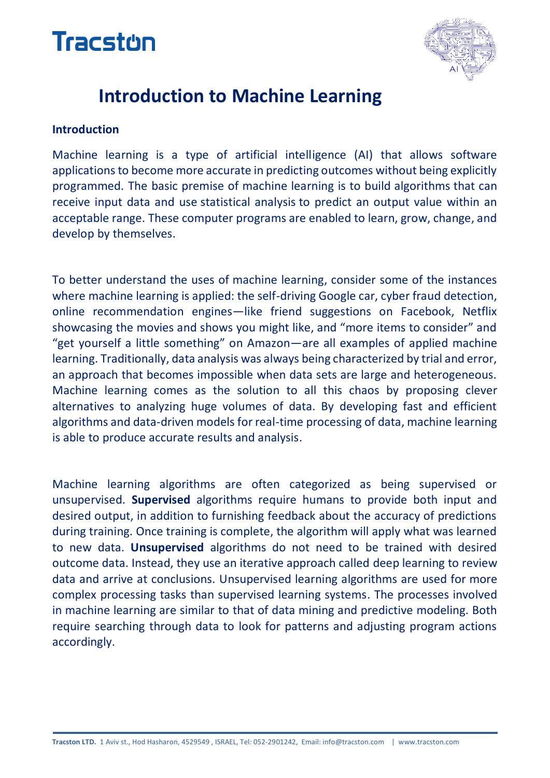# **Tracston**



## **Introduction to Machine Learning**

#### **Introduction**

Machine learning is a type of artificial intelligence [\(AI\)](http://searchcio.techtarget.com/definition/AI) that allows software applications to become more accurate in predicting outcomes without being explicitly programmed. The basic premise of machine learning is to build [algorithms](http://whatis.techtarget.com/definition/algorithm) that can receive input data and use [statistical analysis](http://whatis.techtarget.com/definition/statistical-analysis) to predict an output value within an acceptable range. These computer programs are enabled to learn, grow, change, and develop by themselves.

To better understand the uses of machine learning, consider some of the instances where machine learning is applied: the self-driving Google car, cyber fraud detection, online recommendation engines—like friend suggestions on Facebook, Netflix showcasing the movies and shows you might like, and "more items to consider" and "get yourself a little something" on Amazon—are all examples of applied machine learning. Traditionally, data analysis was always being characterized by trial and error, an approach that becomes impossible when data sets are large and heterogeneous. Machine learning comes as the solution to all this chaos by proposing clever alternatives to analyzing huge volumes of data. By developing fast and efficient algorithms and data-driven models for real-time processing of data, machine learning is able to produce accurate results and analysis.

Machine learning algorithms are often categorized as being supervised or unsupervised. **Supervised** algorithms require humans to provide both input and desired output, in addition to furnishing feedback about the accuracy of predictions during training. Once training is complete, the algorithm will apply what was learned to new data. **Unsupervised** algorithms do not need to be trained with desired outcome data. Instead, they use an iterative approach called [deep learning](http://searchbusinessanalytics.techtarget.com/definition/deep-learning) to review data and arrive at conclusions. Unsupervised learning algorithms are used for more complex processing tasks than supervised learning systems. The processes involved in machine learning are similar to that of data mining and predictive modeling. Both require searching through data to look for patterns and adjusting program actions accordingly.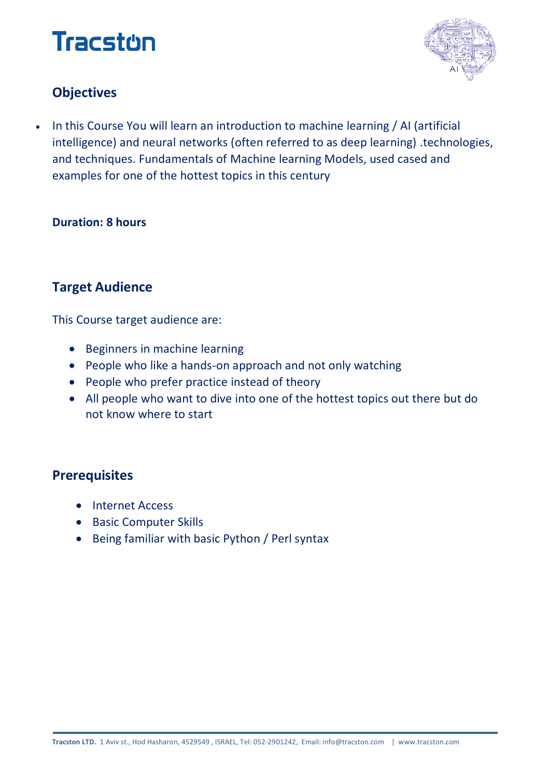## **Tracston**



## **Objectives**

 In this Course You will learn an introduction to machine learning / AI (artificial intelligence) and neural networks (often referred to as deep learning) .technologies, and techniques. Fundamentals of Machine learning Models, used cased and examples for one of the hottest topics in this century

### **Duration: 8 hours**

## **Target Audience**

This Course target audience are:

- Beginners in machine learning
- People who like a hands-on approach and not only watching
- People who prefer practice instead of theory
- All people who want to dive into one of the hottest topics out there but do not know where to start

### **Prerequisites**

- Internet Access
- **•** Basic Computer Skills
- Being familiar with basic Python / Perl syntax